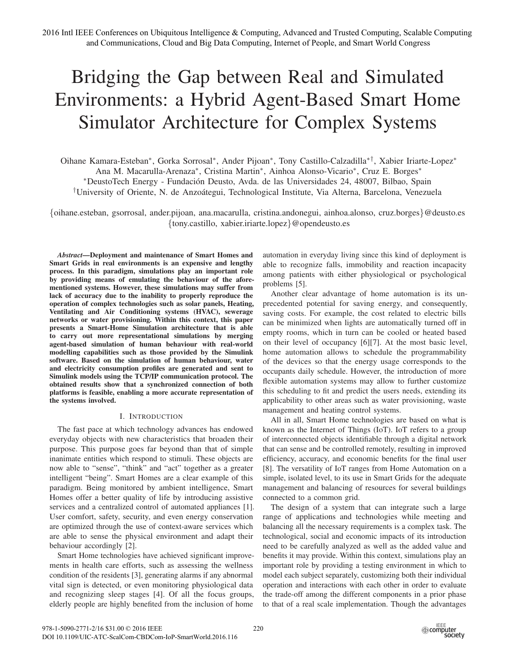# Bridging the Gap between Real and Simulated Environments: a Hybrid Agent-Based Smart Home Simulator Architecture for Complex Systems

Oihane Kamara-Esteban∗, Gorka Sorrosal∗, Ander Pijoan∗, Tony Castillo-Calzadilla∗†, Xabier Iriarte-Lopez∗ Ana M. Macarulla-Arenaza∗, Cristina Martin∗, Ainhoa Alonso-Vicario∗, Cruz E. Borges∗ ∗DeustoTech Energy - Fundacion Deusto, Avda. de las Universidades 24, 48007, Bilbao, Spain ´ †University of Oriente, N. de Anzoategui, Technological Institute, Via Alterna, Barcelona, Venezuela ´

{oihane.esteban, gsorrosal, ander.pijoan, ana.macarulla, cristina.andonegui, ainhoa.alonso, cruz.borges}@deusto.es {tony.castillo, xabier.iriarte.lopez}@opendeusto.es

*Abstract*—Deployment and maintenance of Smart Homes and Smart Grids in real environments is an expensive and lengthy process. In this paradigm, simulations play an important role by providing means of emulating the behaviour of the aforementioned systems. However, these simulations may suffer from lack of accuracy due to the inability to properly reproduce the operation of complex technologies such as solar panels, Heating, Ventilating and Air Conditioning systems (HVAC), sewerage networks or water provisioning. Within this context, this paper presents a Smart-Home Simulation architecture that is able to carry out more representational simulations by merging agent-based simulation of human behaviour with real-world modelling capabilities such as those provided by the Simulink software. Based on the simulation of human behaviour, water and electricity consumption profiles are generated and sent to Simulink models using the TCP/IP communication protocol. The obtained results show that a synchronized connection of both platforms is feasible, enabling a more accurate representation of the systems involved.

## I. INTRODUCTION

The fast pace at which technology advances has endowed everyday objects with new characteristics that broaden their purpose. This purpose goes far beyond than that of simple inanimate entities which respond to stimuli. These objects are now able to "sense", "think" and "act" together as a greater intelligent "being". Smart Homes are a clear example of this paradigm. Being monitored by ambient intelligence, Smart Homes offer a better quality of life by introducing assistive services and a centralized control of automated appliances [1]. User comfort, safety, security, and even energy conservation are optimized through the use of context-aware services which are able to sense the physical environment and adapt their behaviour accordingly [2].

Smart Home technologies have achieved significant improvements in health care efforts, such as assessing the wellness condition of the residents [3], generating alarms if any abnormal vital sign is detected, or even monitoring physiological data and recognizing sleep stages [4]. Of all the focus groups, elderly people are highly benefited from the inclusion of home

automation in everyday living since this kind of deployment is able to recognize falls, immobility and reaction incapacity among patients with either physiological or psychological problems [5].

Another clear advantage of home automation is its unprecedented potential for saving energy, and consequently, saving costs. For example, the cost related to electric bills can be minimized when lights are automatically turned off in empty rooms, which in turn can be cooled or heated based on their level of occupancy [6][7]. At the most basic level, home automation allows to schedule the programmability of the devices so that the energy usage corresponds to the occupants daily schedule. However, the introduction of more flexible automation systems may allow to further customize this scheduling to fit and predict the users needs, extending its applicability to other areas such as water provisioning, waste management and heating control systems.

All in all, Smart Home technologies are based on what is known as the Internet of Things (IoT). IoT refers to a group of interconnected objects identifiable through a digital network that can sense and be controlled remotely, resulting in improved efficiency, accuracy, and economic benefits for the final user [8]. The versatility of IoT ranges from Home Automation on a simple, isolated level, to its use in Smart Grids for the adequate management and balancing of resources for several buildings connected to a common grid.

The design of a system that can integrate such a large range of applications and technologies while meeting and balancing all the necessary requirements is a complex task. The technological, social and economic impacts of its introduction need to be carefully analyzed as well as the added value and benefits it may provide. Within this context, simulations play an important role by providing a testing environment in which to model each subject separately, customizing both their individual operation and interactions with each other in order to evaluate the trade-off among the different components in a prior phase to that of a real scale implementation. Though the advantages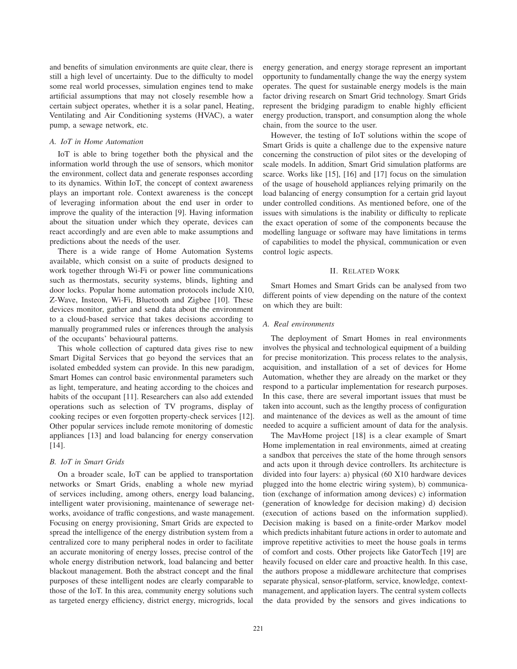and benefits of simulation environments are quite clear, there is still a high level of uncertainty. Due to the difficulty to model some real world processes, simulation engines tend to make artificial assumptions that may not closely resemble how a certain subject operates, whether it is a solar panel, Heating, Ventilating and Air Conditioning systems (HVAC), a water pump, a sewage network, etc.

# *A. IoT in Home Automation*

IoT is able to bring together both the physical and the information world through the use of sensors, which monitor the environment, collect data and generate responses according to its dynamics. Within IoT, the concept of context awareness plays an important role. Context awareness is the concept of leveraging information about the end user in order to improve the quality of the interaction [9]. Having information about the situation under which they operate, devices can react accordingly and are even able to make assumptions and predictions about the needs of the user.

There is a wide range of Home Automation Systems available, which consist on a suite of products designed to work together through Wi-Fi or power line communications such as thermostats, security systems, blinds, lighting and door locks. Popular home automation protocols include X10, Z-Wave, Insteon, Wi-Fi, Bluetooth and Zigbee [10]. These devices monitor, gather and send data about the environment to a cloud-based service that takes decisions according to manually programmed rules or inferences through the analysis of the occupants' behavioural patterns.

This whole collection of captured data gives rise to new Smart Digital Services that go beyond the services that an isolated embedded system can provide. In this new paradigm, Smart Homes can control basic environmental parameters such as light, temperature, and heating according to the choices and habits of the occupant [11]. Researchers can also add extended operations such as selection of TV programs, display of cooking recipes or even forgotten property-check services [12]. Other popular services include remote monitoring of domestic appliances [13] and load balancing for energy conservation [14].

#### *B. IoT in Smart Grids*

On a broader scale, IoT can be applied to transportation networks or Smart Grids, enabling a whole new myriad of services including, among others, energy load balancing, intelligent water provisioning, maintenance of sewerage networks, avoidance of traffic congestions, and waste management. Focusing on energy provisioning, Smart Grids are expected to spread the intelligence of the energy distribution system from a centralized core to many peripheral nodes in order to facilitate an accurate monitoring of energy losses, precise control of the whole energy distribution network, load balancing and better blackout management. Both the abstract concept and the final purposes of these intelligent nodes are clearly comparable to those of the IoT. In this area, community energy solutions such as targeted energy efficiency, district energy, microgrids, local

energy generation, and energy storage represent an important opportunity to fundamentally change the way the energy system operates. The quest for sustainable energy models is the main factor driving research on Smart Grid technology. Smart Grids represent the bridging paradigm to enable highly efficient energy production, transport, and consumption along the whole chain, from the source to the user.

However, the testing of IoT solutions within the scope of Smart Grids is quite a challenge due to the expensive nature concerning the construction of pilot sites or the developing of scale models. In addition, Smart Grid simulation platforms are scarce. Works like [15], [16] and [17] focus on the simulation of the usage of household appliances relying primarily on the load balancing of energy consumption for a certain grid layout under controlled conditions. As mentioned before, one of the issues with simulations is the inability or difficulty to replicate the exact operation of some of the components because the modelling language or software may have limitations in terms of capabilities to model the physical, communication or even control logic aspects.

#### II. RELATED WORK

Smart Homes and Smart Grids can be analysed from two different points of view depending on the nature of the context on which they are built:

## *A. Real environments*

The deployment of Smart Homes in real environments involves the physical and technological equipment of a building for precise monitorization. This process relates to the analysis, acquisition, and installation of a set of devices for Home Automation, whether they are already on the market or they respond to a particular implementation for research purposes. In this case, there are several important issues that must be taken into account, such as the lengthy process of configuration and maintenance of the devices as well as the amount of time needed to acquire a sufficient amount of data for the analysis.

The MavHome project [18] is a clear example of Smart Home implementation in real environments, aimed at creating a sandbox that perceives the state of the home through sensors and acts upon it through device controllers. Its architecture is divided into four layers: a) physical (60 X10 hardware devices plugged into the home electric wiring system), b) communication (exchange of information among devices) c) information (generation of knowledge for decision making) d) decision (execution of actions based on the information supplied). Decision making is based on a finite-order Markov model which predicts inhabitant future actions in order to automate and improve repetitive activities to meet the house goals in terms of comfort and costs. Other projects like GatorTech [19] are heavily focused on elder care and proactive health. In this case, the authors propose a middleware architecture that comprises separate physical, sensor-platform, service, knowledge, contextmanagement, and application layers. The central system collects the data provided by the sensors and gives indications to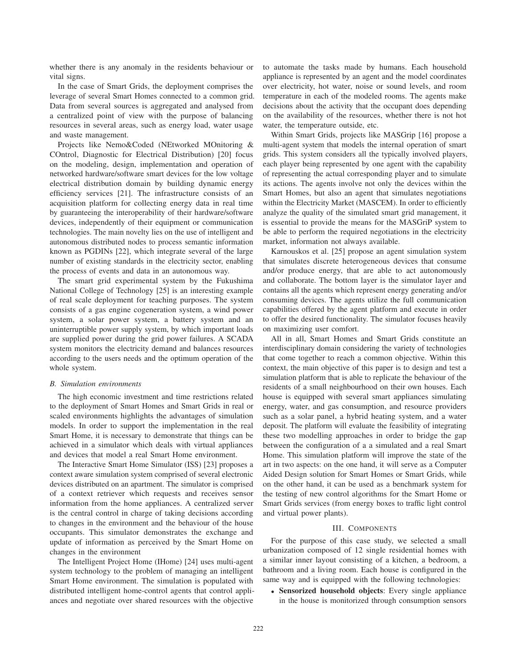whether there is any anomaly in the residents behaviour or vital signs.

In the case of Smart Grids, the deployment comprises the leverage of several Smart Homes connected to a common grid. Data from several sources is aggregated and analysed from a centralized point of view with the purpose of balancing resources in several areas, such as energy load, water usage and waste management.

Projects like Nemo&Coded (NEtworked MOnitoring & COntrol, Diagnostic for Electrical Distribution) [20] focus on the modeling, design, implementation and operation of networked hardware/software smart devices for the low voltage electrical distribution domain by building dynamic energy efficiency services [21]. The infrastructure consists of an acquisition platform for collecting energy data in real time by guaranteeing the interoperability of their hardware/software devices, independently of their equipment or communication technologies. The main novelty lies on the use of intelligent and autonomous distributed nodes to process semantic information known as PGDINs [22], which integrate several of the large number of existing standards in the electricity sector, enabling the process of events and data in an autonomous way.

The smart grid experimental system by the Fukushima National College of Technology [25] is an interesting example of real scale deployment for teaching purposes. The system consists of a gas engine cogeneration system, a wind power system, a solar power system, a battery system and an uninterruptible power supply system, by which important loads are supplied power during the grid power failures. A SCADA system monitors the electricity demand and balances resources according to the users needs and the optimum operation of the whole system.

## *B. Simulation environments*

The high economic investment and time restrictions related to the deployment of Smart Homes and Smart Grids in real or scaled environments highlights the advantages of simulation models. In order to support the implementation in the real Smart Home, it is necessary to demonstrate that things can be achieved in a simulator which deals with virtual appliances and devices that model a real Smart Home environment.

The Interactive Smart Home Simulator (ISS) [23] proposes a context aware simulation system comprised of several electronic devices distributed on an apartment. The simulator is comprised of a context retriever which requests and receives sensor information from the home appliances. A centralized server is the central control in charge of taking decisions according to changes in the environment and the behaviour of the house occupants. This simulator demonstrates the exchange and update of information as perceived by the Smart Home on changes in the environment

The Intelligent Project Home (IHome) [24] uses multi-agent system technology to the problem of managing an intelligent Smart Home environment. The simulation is populated with distributed intelligent home-control agents that control appliances and negotiate over shared resources with the objective

to automate the tasks made by humans. Each household appliance is represented by an agent and the model coordinates over electricity, hot water, noise or sound levels, and room temperature in each of the modeled rooms. The agents make decisions about the activity that the occupant does depending on the availability of the resources, whether there is not hot water, the temperature outside, etc.

Within Smart Grids, projects like MASGrip [16] propose a multi-agent system that models the internal operation of smart grids. This system considers all the typically involved players, each player being represented by one agent with the capability of representing the actual corresponding player and to simulate its actions. The agents involve not only the devices within the Smart Homes, but also an agent that simulates negotiations within the Electricity Market (MASCEM). In order to efficiently analyze the quality of the simulated smart grid management, it is essential to provide the means for the MASGriP system to be able to perform the required negotiations in the electricity market, information not always available.

Karnouskos et al. [25] propose an agent simulation system that simulates discrete heterogeneous devices that consume and/or produce energy, that are able to act autonomously and collaborate. The bottom layer is the simulator layer and contains all the agents which represent energy generating and/or consuming devices. The agents utilize the full communication capabilities offered by the agent platform and execute in order to offer the desired functionality. The simulator focuses heavily on maximizing user comfort.

All in all, Smart Homes and Smart Grids constitute an interdisciplinary domain considering the variety of technologies that come together to reach a common objective. Within this context, the main objective of this paper is to design and test a simulation platform that is able to replicate the behaviour of the residents of a small neighbourhood on their own houses. Each house is equipped with several smart appliances simulating energy, water, and gas consumption, and resource providers such as a solar panel, a hybrid heating system, and a water deposit. The platform will evaluate the feasibility of integrating these two modelling approaches in order to bridge the gap between the configuration of a a simulated and a real Smart Home. This simulation platform will improve the state of the art in two aspects: on the one hand, it will serve as a Computer Aided Design solution for Smart Homes or Smart Grids, while on the other hand, it can be used as a benchmark system for the testing of new control algorithms for the Smart Home or Smart Grids services (from energy boxes to traffic light control and virtual power plants).

## III. COMPONENTS

For the purpose of this case study, we selected a small urbanization composed of 12 single residential homes with a similar inner layout consisting of a kitchen, a bedroom, a bathroom and a living room. Each house is configured in the same way and is equipped with the following technologies:

• Sensorized household objects: Every single appliance in the house is monitorized through consumption sensors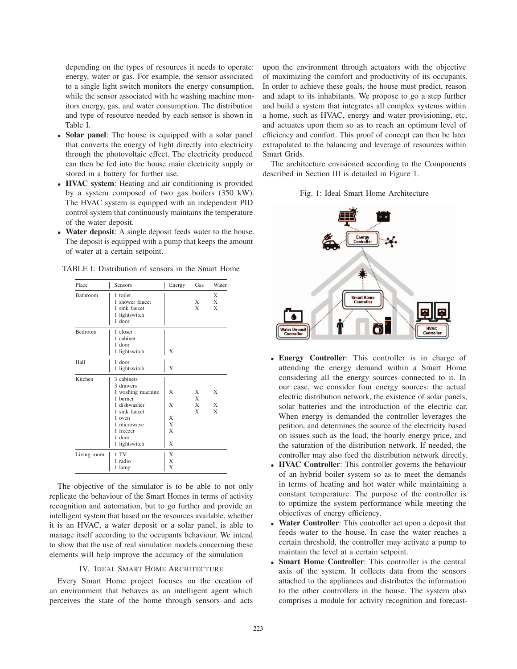depending on the types of resources it needs to operate: energy, water or gas. For example, the sensor associated to a single light switch monitors the energy consumption, while the sensor associated with he washing machine monitors energy, gas, and water consumption. The distribution and type of resource needed by each sensor is shown in Table I.

- Solar panel: The house is equipped with a solar panel that converts the energy of light directly into electricity through the photovoltaic effect. The electricity produced can then be fed into the house main electricity supply or stored in a battery for further use.
- HVAC system: Heating and air conditioning is provided by a system composed of two gas boilers (350 kW). The HVAC system is equipped with an independent PID control system that continuously maintains the temperature of the water deposit.
- Water deposit: A single deposit feeds water to the house. The deposit is equipped with a pump that keeps the amount of water at a certain setpoint.

| Place           | Sensors                                                                                                                                                              | Energy                     | Gas              | Water       |
|-----------------|----------------------------------------------------------------------------------------------------------------------------------------------------------------------|----------------------------|------------------|-------------|
| <b>Bathroom</b> | 1 toilet<br>1 shower faucet<br>1 sink faucet<br>1 lightswitch<br>1 door                                                                                              |                            | X<br>X           | X<br>X<br>X |
| Bedroom         | 1 closet<br>1 cabinet<br>1 door<br>1 lightswitch                                                                                                                     | X                          |                  |             |
| Hall            | 1 door<br>1 lightswitch                                                                                                                                              | Х                          |                  |             |
| Kitchen         | 3 cabinets<br>3 drawers<br>1 washing machine<br>burner<br>1.<br>1 dishwasher<br>1 sink faucet<br>1 oven<br>microwave<br>1<br>freezer<br>1<br>1 door<br>1 lightswitch | X<br>X<br>X<br>Х<br>X<br>Х | X<br>X<br>X<br>X | X<br>X<br>X |
| Living room     | 1 TV<br>1 radio<br>1 lamp                                                                                                                                            | Х<br>Х<br>Х                |                  |             |

TABLE I: Distribution of sensors in the Smart Home

The objective of the simulator is to be able to not only replicate the behaviour of the Smart Homes in terms of activity recognition and automation, but to go further and provide an intelligent system that based on the resources available, whether it is an HVAC, a water deposit or a solar panel, is able to manage itself according to the occupants behaviour. We intend to show that the use of real simulation models concerning these elements will help improve the accuracy of the simulation

# IV. IDEAL SMART HOME ARCHITECTURE

Every Smart Home project focuses on the creation of an environment that behaves as an intelligent agent which perceives the state of the home through sensors and acts

upon the environment through actuators with the objective of maximizing the comfort and productivity of its occupants. In order to achieve these goals, the house must predict, reason and adapt to its inhabitants. We propose to go a step further and build a system that integrates all complex systems within a home, such as HVAC, energy and water provisioning, etc, and actuates upon them so as to reach an optimum level of efficiency and comfort. This proof of concept can then be later extrapolated to the balancing and leverage of resources within Smart Grids.

The architecture envisioned according to the Components described in Section III is detailed in Figure 1.

Fig. 1: Ideal Smart Home Architecture



- Energy Controller: This controller is in charge of attending the energy demand within a Smart Home considering all the energy sources connected to it. In our case, we consider four energy sources: the actual electric distribution network, the existence of solar panels, solar batteries and the introduction of the electric car. When energy is demanded the controller leverages the petition, and determines the source of the electricity based on issues such as the load, the hourly energy price, and the saturation of the distribution network. If needed, the controller may also feed the distribution network directly.
- HVAC Controller: This controller governs the behaviour of an hybrid boiler system so as to meet the demands in terms of heating and hot water while maintaining a constant temperature. The purpose of the controller is to optimize the system performance while meeting the objectives of energy efficiency,
- Water Controller: This controller act upon a deposit that feeds water to the house. In case the water reaches a certain threshold, the controller may activate a pump to maintain the level at a certain setpoint.
- Smart Home Controller: This controller is the central axis of the system. It collects data from the sensors attached to the appliances and distributes the information to the other controllers in the house. The system also comprises a module for activity recognition and forecast-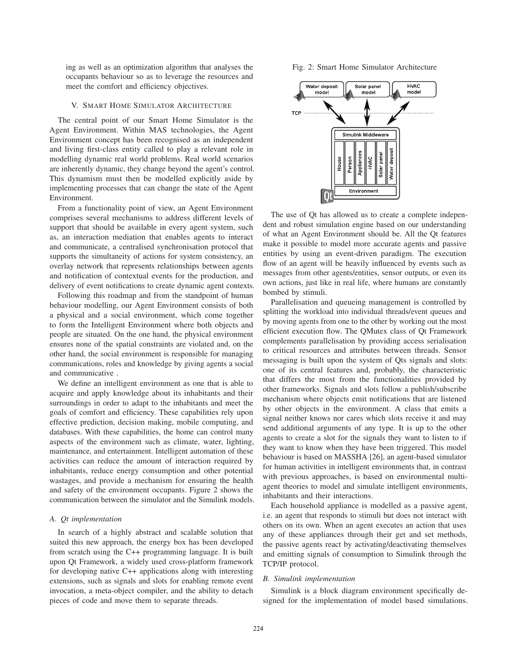ing as well as an optimization algorithm that analyses the occupants behaviour so as to leverage the resources and meet the comfort and efficiency objectives.

## V. SMART HOME SIMULATOR ARCHITECTURE

The central point of our Smart Home Simulator is the Agent Environment. Within MAS technologies, the Agent Environment concept has been recognised as an independent and living first-class entity called to play a relevant role in modelling dynamic real world problems. Real world scenarios are inherently dynamic, they change beyond the agent's control. This dynamism must then be modelled explicitly aside by implementing processes that can change the state of the Agent Environment.

From a functionality point of view, an Agent Environment comprises several mechanisms to address different levels of support that should be available in every agent system, such as, an interaction mediation that enables agents to interact and communicate, a centralised synchronisation protocol that supports the simultaneity of actions for system consistency, an overlay network that represents relationships between agents and notification of contextual events for the production, and delivery of event notifications to create dynamic agent contexts.

Following this roadmap and from the standpoint of human behaviour modelling, our Agent Environment consists of both a physical and a social environment, which come together to form the Intelligent Environment where both objects and people are situated. On the one hand, the physical environment ensures none of the spatial constraints are violated and, on the other hand, the social environment is responsible for managing communications, roles and knowledge by giving agents a social and communicative .

We define an intelligent environment as one that is able to acquire and apply knowledge about its inhabitants and their surroundings in order to adapt to the inhabitants and meet the goals of comfort and efficiency. These capabilities rely upon effective prediction, decision making, mobile computing, and databases. With these capabilities, the home can control many aspects of the environment such as climate, water, lighting, maintenance, and entertainment. Intelligent automation of these activities can reduce the amount of interaction required by inhabitants, reduce energy consumption and other potential wastages, and provide a mechanism for ensuring the health and safety of the environment occupants. Figure 2 shows the communication between the simulator and the Simulink models.

#### *A. Qt implementation*

In search of a highly abstract and scalable solution that suited this new approach, the energy box has been developed from scratch using the C++ programming language. It is built upon Qt Framework, a widely used cross-platform framework for developing native C++ applications along with interesting extensions, such as signals and slots for enabling remote event invocation, a meta-object compiler, and the ability to detach pieces of code and move them to separate threads.

Fig. 2: Smart Home Simulator Architecture



The use of Qt has allowed us to create a complete independent and robust simulation engine based on our understanding of what an Agent Environment should be. All the Qt features make it possible to model more accurate agents and passive entities by using an event-driven paradigm. The execution flow of an agent will be heavily influenced by events such as messages from other agents/entities, sensor outputs, or even its own actions, just like in real life, where humans are constantly bombed by stimuli.

Parallelisation and queueing management is controlled by splitting the workload into individual threads/event queues and by moving agents from one to the other by working out the most efficient execution flow. The QMutex class of Qt Framework complements parallelisation by providing access serialisation to critical resources and attributes between threads. Sensor messaging is built upon the system of Qts signals and slots: one of its central features and, probably, the characteristic that differs the most from the functionalities provided by other frameworks. Signals and slots follow a publish/subscribe mechanism where objects emit notifications that are listened by other objects in the environment. A class that emits a signal neither knows nor cares which slots receive it and may send additional arguments of any type. It is up to the other agents to create a slot for the signals they want to listen to if they want to know when they have been triggered. This model behaviour is based on MASSHA [26], an agent-based simulator for human activities in intelligent environments that, in contrast with previous approaches, is based on environmental multiagent theories to model and simulate intelligent environments, inhabitants and their interactions.

Each household appliance is modelled as a passive agent, i.e. an agent that responds to stimuli but does not interact with others on its own. When an agent executes an action that uses any of these appliances through their get and set methods, the passive agents react by activating/deactivating themselves and emitting signals of consumption to Simulink through the TCP/IP protocol.

## *B. Simulink implementation*

Simulink is a block diagram environment specifically designed for the implementation of model based simulations.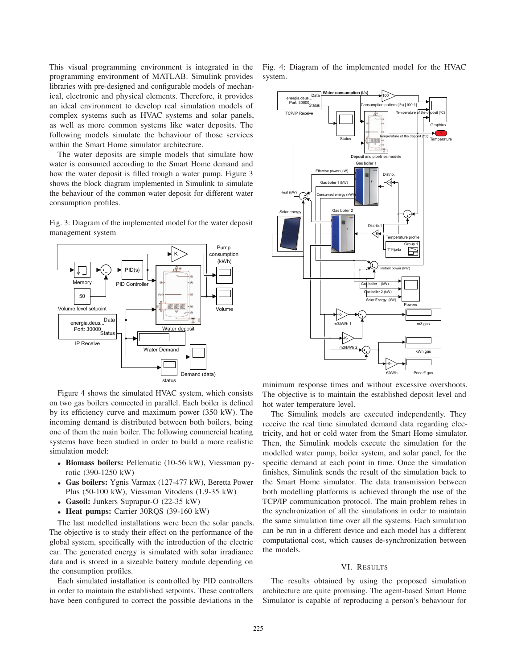This visual programming environment is integrated in the programming environment of MATLAB. Simulink provides libraries with pre-designed and configurable models of mechanical, electronic and physical elements. Therefore, it provides an ideal environment to develop real simulation models of complex systems such as HVAC systems and solar panels, as well as more common systems like water deposits. The following models simulate the behaviour of those services within the Smart Home simulator architecture.

The water deposits are simple models that simulate how water is consumed according to the Smart Home demand and how the water deposit is filled trough a water pump. Figure 3 shows the block diagram implemented in Simulink to simulate the behaviour of the common water deposit for different water consumption profiles.

Fig. 3: Diagram of the implemented model for the water deposit management system



Figure 4 shows the simulated HVAC system, which consists on two gas boilers connected in parallel. Each boiler is defined by its efficiency curve and maximum power (350 kW). The incoming demand is distributed between both boilers, being one of them the main boiler. The following commercial heating systems have been studied in order to build a more realistic simulation model:

- Biomass boilers: Pellematic (10-56 kW), Viessman pyrotic (390-1250 kW)
- Gas boilers: Ygnis Varmax (127-477 kW), Beretta Power Plus (50-100 kW), Viessman Vitodens (1.9-35 kW)
- Gasoil: Junkers Suprapur-O (22-35 kW)
- Heat pumps: Carrier 30RQS (39-160 kW)

The last modelled installations were been the solar panels. The objective is to study their effect on the performance of the global system, specifically with the introduction of the electric car. The generated energy is simulated with solar irradiance data and is stored in a sizeable battery module depending on the consumption profiles.

Each simulated installation is controlled by PID controllers in order to maintain the established setpoints. These controllers have been configured to correct the possible deviations in the

Fig. 4: Diagram of the implemented model for the HVAC system.



minimum response times and without excessive overshoots. The objective is to maintain the established deposit level and hot water temperature level.

The Simulink models are executed independently. They receive the real time simulated demand data regarding electricity, and hot or cold water from the Smart Home simulator. Then, the Simulink models execute the simulation for the modelled water pump, boiler system, and solar panel, for the specific demand at each point in time. Once the simulation finishes, Simulink sends the result of the simulation back to the Smart Home simulator. The data transmission between both modelling platforms is achieved through the use of the TCP/IP communication protocol. The main problem relies in the synchronization of all the simulations in order to maintain the same simulation time over all the systems. Each simulation can be run in a different device and each model has a different computational cost, which causes de-synchronization between the models.

#### VI. RESULTS

The results obtained by using the proposed simulation architecture are quite promising. The agent-based Smart Home Simulator is capable of reproducing a person's behaviour for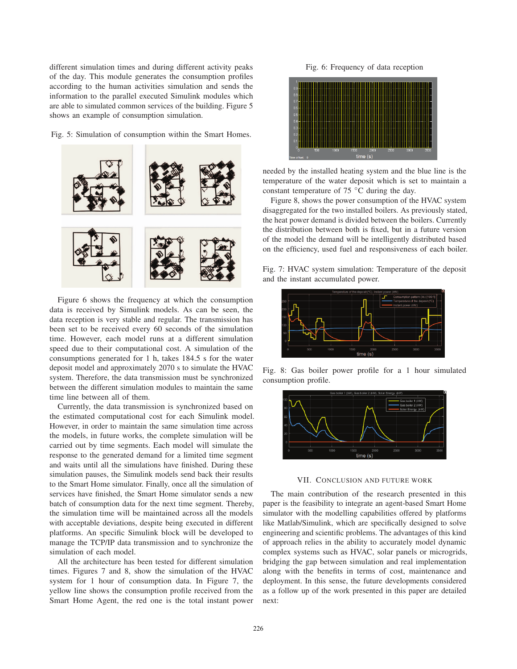different simulation times and during different activity peaks of the day. This module generates the consumption profiles according to the human activities simulation and sends the information to the parallel executed Simulink modules which are able to simulated common services of the building. Figure 5 shows an example of consumption simulation.

Fig. 5: Simulation of consumption within the Smart Homes.



Figure 6 shows the frequency at which the consumption data is received by Simulink models. As can be seen, the data reception is very stable and regular. The transmission has been set to be received every 60 seconds of the simulation time. However, each model runs at a different simulation speed due to their computational cost. A simulation of the consumptions generated for 1 h, takes 184.5 s for the water deposit model and approximately 2070 s to simulate the HVAC system. Therefore, the data transmission must be synchronized between the different simulation modules to maintain the same time line between all of them.

Currently, the data transmission is synchronized based on the estimated computational cost for each Simulink model. However, in order to maintain the same simulation time across the models, in future works, the complete simulation will be carried out by time segments. Each model will simulate the response to the generated demand for a limited time segment and waits until all the simulations have finished. During these simulation pauses, the Simulink models send back their results to the Smart Home simulator. Finally, once all the simulation of services have finished, the Smart Home simulator sends a new batch of consumption data for the next time segment. Thereby, the simulation time will be maintained across all the models with acceptable deviations, despite being executed in different platforms. An specific Simulink block will be developed to manage the TCP/IP data transmission and to synchronize the simulation of each model.

All the architecture has been tested for different simulation times. Figures 7 and 8, show the simulation of the HVAC system for 1 hour of consumption data. In Figure 7, the yellow line shows the consumption profile received from the Smart Home Agent, the red one is the total instant power





needed by the installed heating system and the blue line is the temperature of the water deposit which is set to maintain a constant temperature of 75 ◦C during the day.

Figure 8, shows the power consumption of the HVAC system disaggregated for the two installed boilers. As previously stated, the heat power demand is divided between the boilers. Currently the distribution between both is fixed, but in a future version of the model the demand will be intelligently distributed based on the efficiency, used fuel and responsiveness of each boiler.

Fig. 7: HVAC system simulation: Temperature of the deposit and the instant accumulated power.



Fig. 8: Gas boiler power profile for a 1 hour simulated consumption profile.



VII. CONCLUSION AND FUTURE WORK

The main contribution of the research presented in this paper is the feasibility to integrate an agent-based Smart Home simulator with the modelling capabilities offered by platforms like Matlab/Simulink, which are specifically designed to solve engineering and scientific problems. The advantages of this kind of approach relies in the ability to accurately model dynamic complex systems such as HVAC, solar panels or microgrids, bridging the gap between simulation and real implementation along with the benefits in terms of cost, maintenance and deployment. In this sense, the future developments considered as a follow up of the work presented in this paper are detailed next: